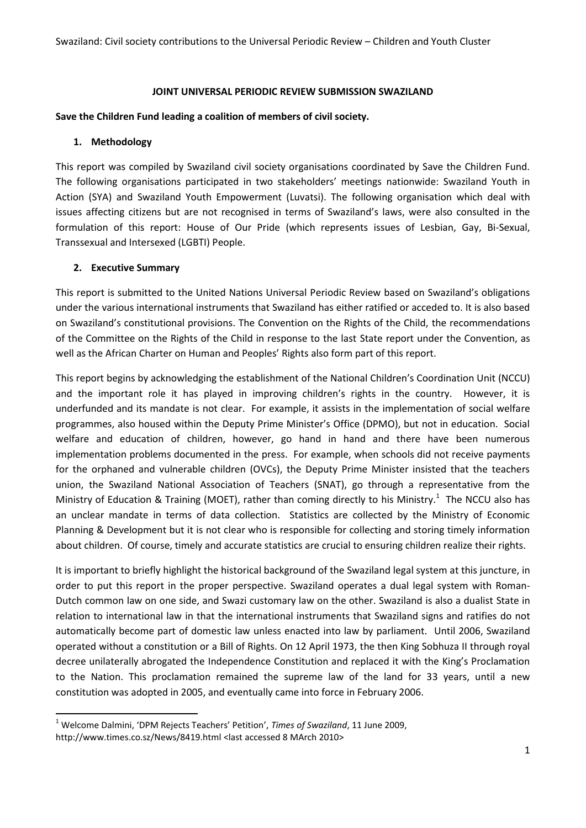#### **JOINT UNIVERSAL PERIODIC REVIEW SUBMISSION SWAZILAND**

#### **Save the Children Fund leading a coalition of members of civil society.**

#### **1. Methodology**

This report was compiled by Swaziland civil society organisations coordinated by Save the Children Fund. The following organisations participated in two stakeholders' meetings nationwide: Swaziland Youth in Action (SYA) and Swaziland Youth Empowerment (Luvatsi). The following organisation which deal with issues affecting citizens but are not recognised in terms of Swaziland's laws, were also consulted in the formulation of this report: House of Our Pride (which represents issues of Lesbian, Gay, Bi-Sexual, Transsexual and Intersexed (LGBTI) People.

#### **2. Executive Summary**

**.** 

This report is submitted to the United Nations Universal Periodic Review based on Swaziland's obligations under the various international instruments that Swaziland has either ratified or acceded to. It is also based on Swaziland's constitutional provisions. The Convention on the Rights of the Child, the recommendations of the Committee on the Rights of the Child in response to the last State report under the Convention, as well as the African Charter on Human and Peoples' Rights also form part of this report.

This report begins by acknowledging the establishment of the National Children's Coordination Unit (NCCU) and the important role it has played in improving children's rights in the country. However, it is underfunded and its mandate is not clear. For example, it assists in the implementation of social welfare programmes, also housed within the Deputy Prime Minister's Office (DPMO), but not in education. Social welfare and education of children, however, go hand in hand and there have been numerous implementation problems documented in the press. For example, when schools did not receive payments for the orphaned and vulnerable children (OVCs), the Deputy Prime Minister insisted that the teachers union, the Swaziland National Association of Teachers (SNAT), go through a representative from the Ministry of Education & Training (MOET), rather than coming directly to his Ministry.<sup>1</sup> The NCCU also has an unclear mandate in terms of data collection. Statistics are collected by the Ministry of Economic Planning & Development but it is not clear who is responsible for collecting and storing timely information about children. Of course, timely and accurate statistics are crucial to ensuring children realize their rights.

It is important to briefly highlight the historical background of the Swaziland legal system at this juncture, in order to put this report in the proper perspective. Swaziland operates a dual legal system with Roman-Dutch common law on one side, and Swazi customary law on the other. Swaziland is also a dualist State in relation to international law in that the international instruments that Swaziland signs and ratifies do not automatically become part of domestic law unless enacted into law by parliament. Until 2006, Swaziland operated without a constitution or a Bill of Rights. On 12 April 1973, the then King Sobhuza II through royal decree unilaterally abrogated the Independence Constitution and replaced it with the King's Proclamation to the Nation. This proclamation remained the supreme law of the land for 33 years, until a new constitution was adopted in 2005, and eventually came into force in February 2006.

<sup>1</sup> Welcome Dalmini, 'DPM Rejects Teachers' Petition', *Times of Swaziland*, 11 June 2009, http://www.times.co.sz/News/8419.html <last accessed 8 MArch 2010>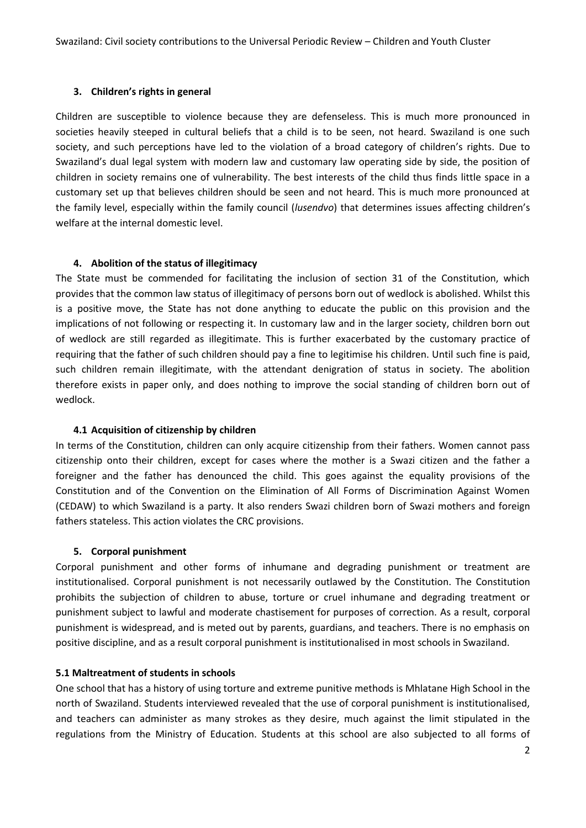## **3. Children's rights in general**

Children are susceptible to violence because they are defenseless. This is much more pronounced in societies heavily steeped in cultural beliefs that a child is to be seen, not heard. Swaziland is one such society, and such perceptions have led to the violation of a broad category of children's rights. Due to Swaziland's dual legal system with modern law and customary law operating side by side, the position of children in society remains one of vulnerability. The best interests of the child thus finds little space in a customary set up that believes children should be seen and not heard. This is much more pronounced at the family level, especially within the family council (*lusendvo*) that determines issues affecting children's welfare at the internal domestic level.

## **4. Abolition of the status of illegitimacy**

The State must be commended for facilitating the inclusion of section 31 of the Constitution, which provides that the common law status of illegitimacy of persons born out of wedlock is abolished. Whilst this is a positive move, the State has not done anything to educate the public on this provision and the implications of not following or respecting it. In customary law and in the larger society, children born out of wedlock are still regarded as illegitimate. This is further exacerbated by the customary practice of requiring that the father of such children should pay a fine to legitimise his children. Until such fine is paid, such children remain illegitimate, with the attendant denigration of status in society. The abolition therefore exists in paper only, and does nothing to improve the social standing of children born out of wedlock.

#### **4.1 Acquisition of citizenship by children**

In terms of the Constitution, children can only acquire citizenship from their fathers. Women cannot pass citizenship onto their children, except for cases where the mother is a Swazi citizen and the father a foreigner and the father has denounced the child. This goes against the equality provisions of the Constitution and of the Convention on the Elimination of All Forms of Discrimination Against Women (CEDAW) to which Swaziland is a party. It also renders Swazi children born of Swazi mothers and foreign fathers stateless. This action violates the CRC provisions.

# **5. Corporal punishment**

Corporal punishment and other forms of inhumane and degrading punishment or treatment are institutionalised. Corporal punishment is not necessarily outlawed by the Constitution. The Constitution prohibits the subjection of children to abuse, torture or cruel inhumane and degrading treatment or punishment subject to lawful and moderate chastisement for purposes of correction. As a result, corporal punishment is widespread, and is meted out by parents, guardians, and teachers. There is no emphasis on positive discipline, and as a result corporal punishment is institutionalised in most schools in Swaziland.

# **5.1 Maltreatment of students in schools**

One school that has a history of using torture and extreme punitive methods is Mhlatane High School in the north of Swaziland. Students interviewed revealed that the use of corporal punishment is institutionalised, and teachers can administer as many strokes as they desire, much against the limit stipulated in the regulations from the Ministry of Education. Students at this school are also subjected to all forms of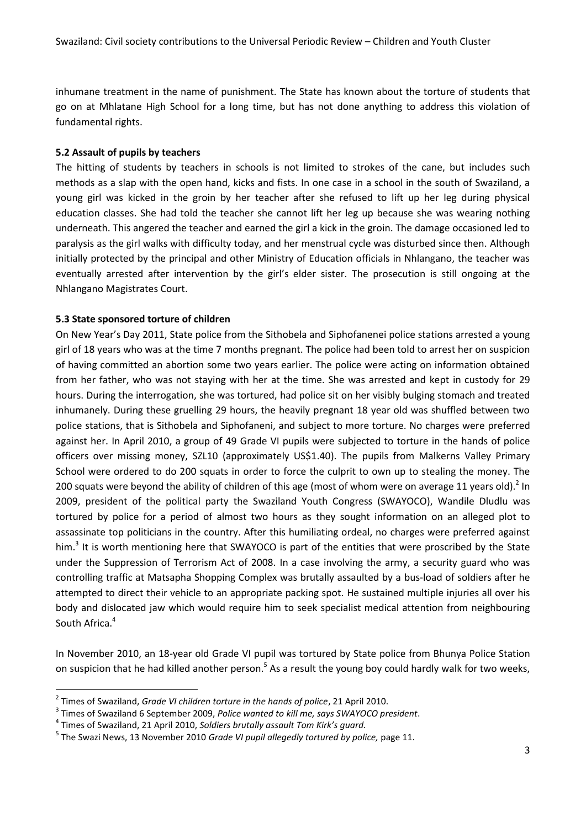inhumane treatment in the name of punishment. The State has known about the torture of students that go on at Mhlatane High School for a long time, but has not done anything to address this violation of fundamental rights.

### **5.2 Assault of pupils by teachers**

The hitting of students by teachers in schools is not limited to strokes of the cane, but includes such methods as a slap with the open hand, kicks and fists. In one case in a school in the south of Swaziland, a young girl was kicked in the groin by her teacher after she refused to lift up her leg during physical education classes. She had told the teacher she cannot lift her leg up because she was wearing nothing underneath. This angered the teacher and earned the girl a kick in the groin. The damage occasioned led to paralysis as the girl walks with difficulty today, and her menstrual cycle was disturbed since then. Although initially protected by the principal and other Ministry of Education officials in Nhlangano, the teacher was eventually arrested after intervention by the girl's elder sister. The prosecution is still ongoing at the Nhlangano Magistrates Court.

## **5.3 State sponsored torture of children**

**.** 

On New Year's Day 2011, State police from the Sithobela and Siphofanenei police stations arrested a young girl of 18 years who was at the time 7 months pregnant. The police had been told to arrest her on suspicion of having committed an abortion some two years earlier. The police were acting on information obtained from her father, who was not staying with her at the time. She was arrested and kept in custody for 29 hours. During the interrogation, she was tortured, had police sit on her visibly bulging stomach and treated inhumanely. During these gruelling 29 hours, the heavily pregnant 18 year old was shuffled between two police stations, that is Sithobela and Siphofaneni, and subject to more torture. No charges were preferred against her. In April 2010, a group of 49 Grade VI pupils were subjected to torture in the hands of police officers over missing money, SZL10 (approximately US\$1.40). The pupils from Malkerns Valley Primary School were ordered to do 200 squats in order to force the culprit to own up to stealing the money. The 200 squats were beyond the ability of children of this age (most of whom were on average 11 years old).<sup>2</sup> In 2009, president of the political party the Swaziland Youth Congress (SWAYOCO), Wandile Dludlu was tortured by police for a period of almost two hours as they sought information on an alleged plot to assassinate top politicians in the country. After this humiliating ordeal, no charges were preferred against him.<sup>3</sup> It is worth mentioning here that SWAYOCO is part of the entities that were proscribed by the State under the Suppression of Terrorism Act of 2008. In a case involving the army, a security guard who was controlling traffic at Matsapha Shopping Complex was brutally assaulted by a bus-load of soldiers after he attempted to direct their vehicle to an appropriate packing spot. He sustained multiple injuries all over his body and dislocated jaw which would require him to seek specialist medical attention from neighbouring South Africa.<sup>4</sup>

In November 2010, an 18-year old Grade VI pupil was tortured by State police from Bhunya Police Station on suspicion that he had killed another person.<sup>5</sup> As a result the young boy could hardly walk for two weeks,

<sup>2</sup> Times of Swaziland, *Grade VI children torture in the hands of police*, 21 April 2010.

<sup>3</sup> Times of Swaziland 6 September 2009, *Police wanted to kill me, says SWAYOCO president*.

<sup>4</sup> Times of Swaziland, 21 April 2010, *Soldiers brutally assault Tom Kirk's guard.*

<sup>5</sup> The Swazi News, 13 November 2010 *Grade VI pupil allegedly tortured by police,* page 11.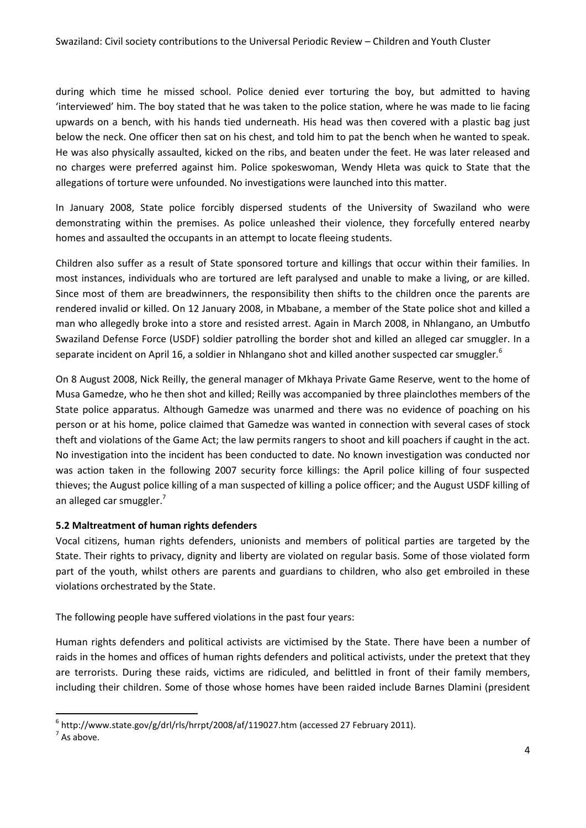during which time he missed school. Police denied ever torturing the boy, but admitted to having 'interviewed' him. The boy stated that he was taken to the police station, where he was made to lie facing upwards on a bench, with his hands tied underneath. His head was then covered with a plastic bag just below the neck. One officer then sat on his chest, and told him to pat the bench when he wanted to speak. He was also physically assaulted, kicked on the ribs, and beaten under the feet. He was later released and no charges were preferred against him. Police spokeswoman, Wendy Hleta was quick to State that the allegations of torture were unfounded. No investigations were launched into this matter.

In January 2008, State police forcibly dispersed students of the University of Swaziland who were demonstrating within the premises. As police unleashed their violence, they forcefully entered nearby homes and assaulted the occupants in an attempt to locate fleeing students.

Children also suffer as a result of State sponsored torture and killings that occur within their families. In most instances, individuals who are tortured are left paralysed and unable to make a living, or are killed. Since most of them are breadwinners, the responsibility then shifts to the children once the parents are rendered invalid or killed. On 12 January 2008, in Mbabane, a member of the State police shot and killed a man who allegedly broke into a store and resisted arrest. Again in March 2008, in Nhlangano, an Umbutfo Swaziland Defense Force (USDF) soldier patrolling the border shot and killed an alleged car smuggler. In a separate incident on April 16, a soldier in Nhlangano shot and killed another suspected car smuggler.<sup>6</sup>

On 8 August 2008, Nick Reilly, the general manager of Mkhaya Private Game Reserve, went to the home of Musa Gamedze, who he then shot and killed; Reilly was accompanied by three plainclothes members of the State police apparatus. Although Gamedze was unarmed and there was no evidence of poaching on his person or at his home, police claimed that Gamedze was wanted in connection with several cases of stock theft and violations of the Game Act; the law permits rangers to shoot and kill poachers if caught in the act. No investigation into the incident has been conducted to date. No known investigation was conducted nor was action taken in the following 2007 security force killings: the April police killing of four suspected thieves; the August police killing of a man suspected of killing a police officer; and the August USDF killing of an alleged car smuggler.<sup>7</sup>

# **5.2 Maltreatment of human rights defenders**

Vocal citizens, human rights defenders, unionists and members of political parties are targeted by the State. Their rights to privacy, dignity and liberty are violated on regular basis. Some of those violated form part of the youth, whilst others are parents and guardians to children, who also get embroiled in these violations orchestrated by the State.

The following people have suffered violations in the past four years:

Human rights defenders and political activists are victimised by the State. There have been a number of raids in the homes and offices of human rights defenders and political activists, under the pretext that they are terrorists. During these raids, victims are ridiculed, and belittled in front of their family members, including their children. Some of those whose homes have been raided include Barnes Dlamini (president

**.** 

 $^6$  http://www.state.gov/g/drl/rls/hrrpt/2008/af/119027.htm (accessed 27 February 2011).

 $<sup>7</sup>$  As above.</sup>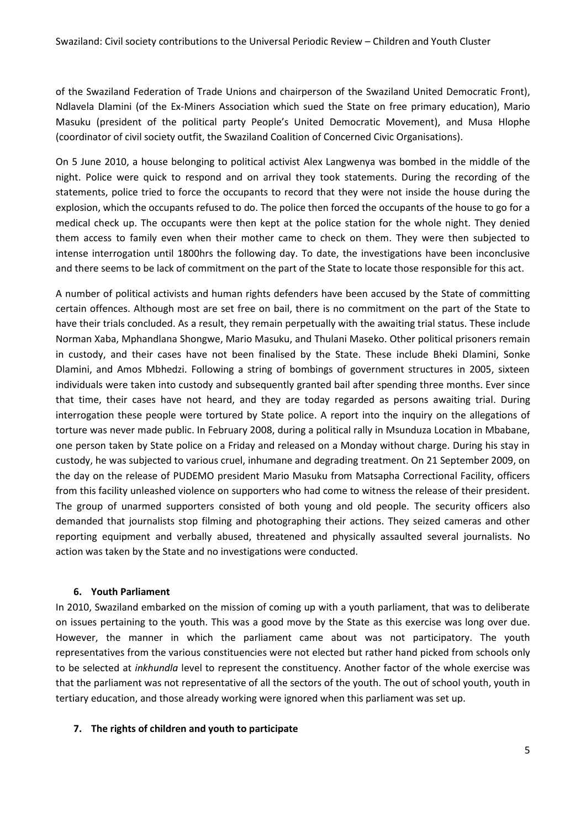of the Swaziland Federation of Trade Unions and chairperson of the Swaziland United Democratic Front), Ndlavela Dlamini (of the Ex-Miners Association which sued the State on free primary education), Mario Masuku (president of the political party People's United Democratic Movement), and Musa Hlophe (coordinator of civil society outfit, the Swaziland Coalition of Concerned Civic Organisations).

On 5 June 2010, a house belonging to political activist Alex Langwenya was bombed in the middle of the night. Police were quick to respond and on arrival they took statements. During the recording of the statements, police tried to force the occupants to record that they were not inside the house during the explosion, which the occupants refused to do. The police then forced the occupants of the house to go for a medical check up. The occupants were then kept at the police station for the whole night. They denied them access to family even when their mother came to check on them. They were then subjected to intense interrogation until 1800hrs the following day. To date, the investigations have been inconclusive and there seems to be lack of commitment on the part of the State to locate those responsible for this act.

A number of political activists and human rights defenders have been accused by the State of committing certain offences. Although most are set free on bail, there is no commitment on the part of the State to have their trials concluded. As a result, they remain perpetually with the awaiting trial status. These include Norman Xaba, Mphandlana Shongwe, Mario Masuku, and Thulani Maseko. Other political prisoners remain in custody, and their cases have not been finalised by the State. These include Bheki Dlamini, Sonke Dlamini, and Amos Mbhedzi. Following a string of bombings of government structures in 2005, sixteen individuals were taken into custody and subsequently granted bail after spending three months. Ever since that time, their cases have not heard, and they are today regarded as persons awaiting trial. During interrogation these people were tortured by State police. A report into the inquiry on the allegations of torture was never made public. In February 2008, during a political rally in Msunduza Location in Mbabane, one person taken by State police on a Friday and released on a Monday without charge. During his stay in custody, he was subjected to various cruel, inhumane and degrading treatment. On 21 September 2009, on the day on the release of PUDEMO president Mario Masuku from Matsapha Correctional Facility, officers from this facility unleashed violence on supporters who had come to witness the release of their president. The group of unarmed supporters consisted of both young and old people. The security officers also demanded that journalists stop filming and photographing their actions. They seized cameras and other reporting equipment and verbally abused, threatened and physically assaulted several journalists. No action was taken by the State and no investigations were conducted.

# **6. Youth Parliament**

In 2010, Swaziland embarked on the mission of coming up with a youth parliament, that was to deliberate on issues pertaining to the youth. This was a good move by the State as this exercise was long over due. However, the manner in which the parliament came about was not participatory. The youth representatives from the various constituencies were not elected but rather hand picked from schools only to be selected at *inkhundla* level to represent the constituency. Another factor of the whole exercise was that the parliament was not representative of all the sectors of the youth. The out of school youth, youth in tertiary education, and those already working were ignored when this parliament was set up.

#### **7. The rights of children and youth to participate**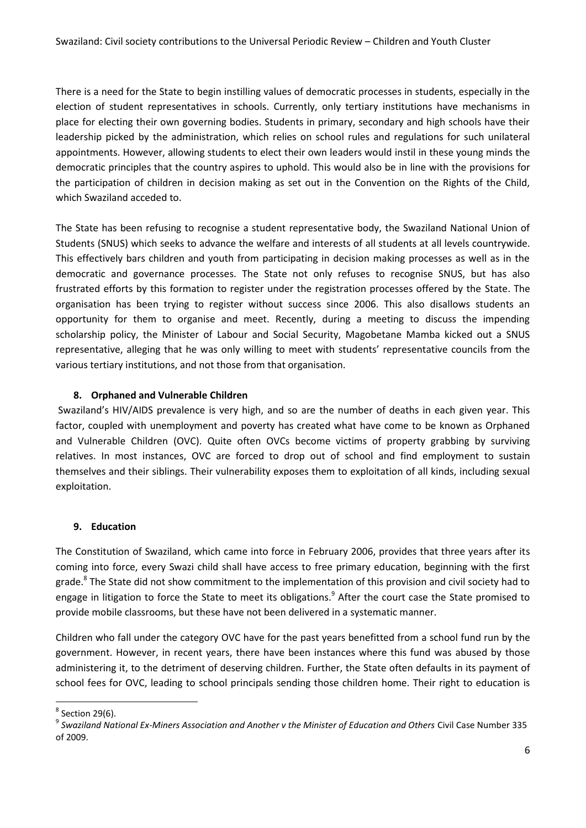There is a need for the State to begin instilling values of democratic processes in students, especially in the election of student representatives in schools. Currently, only tertiary institutions have mechanisms in place for electing their own governing bodies. Students in primary, secondary and high schools have their leadership picked by the administration, which relies on school rules and regulations for such unilateral appointments. However, allowing students to elect their own leaders would instil in these young minds the democratic principles that the country aspires to uphold. This would also be in line with the provisions for the participation of children in decision making as set out in the Convention on the Rights of the Child, which Swaziland acceded to.

The State has been refusing to recognise a student representative body, the Swaziland National Union of Students (SNUS) which seeks to advance the welfare and interests of all students at all levels countrywide. This effectively bars children and youth from participating in decision making processes as well as in the democratic and governance processes. The State not only refuses to recognise SNUS, but has also frustrated efforts by this formation to register under the registration processes offered by the State. The organisation has been trying to register without success since 2006. This also disallows students an opportunity for them to organise and meet. Recently, during a meeting to discuss the impending scholarship policy, the Minister of Labour and Social Security, Magobetane Mamba kicked out a SNUS representative, alleging that he was only willing to meet with students' representative councils from the various tertiary institutions, and not those from that organisation.

#### **8. Orphaned and Vulnerable Children**

Swaziland's HIV/AIDS prevalence is very high, and so are the number of deaths in each given year. This factor, coupled with unemployment and poverty has created what have come to be known as Orphaned and Vulnerable Children (OVC). Quite often OVCs become victims of property grabbing by surviving relatives. In most instances, OVC are forced to drop out of school and find employment to sustain themselves and their siblings. Their vulnerability exposes them to exploitation of all kinds, including sexual exploitation.

#### **9. Education**

The Constitution of Swaziland, which came into force in February 2006, provides that three years after its coming into force, every Swazi child shall have access to free primary education, beginning with the first grade.<sup>8</sup> The State did not show commitment to the implementation of this provision and civil society had to engage in litigation to force the State to meet its obligations.<sup>9</sup> After the court case the State promised to provide mobile classrooms, but these have not been delivered in a systematic manner.

Children who fall under the category OVC have for the past years benefitted from a school fund run by the government. However, in recent years, there have been instances where this fund was abused by those administering it, to the detriment of deserving children. Further, the State often defaults in its payment of school fees for OVC, leading to school principals sending those children home. Their right to education is

**.** 

 $8$  Section 29(6).

<sup>&</sup>lt;sup>9</sup> Swaziland National Ex-Miners Association and Another v the Minister of Education and Others Civil Case Number 335 of 2009.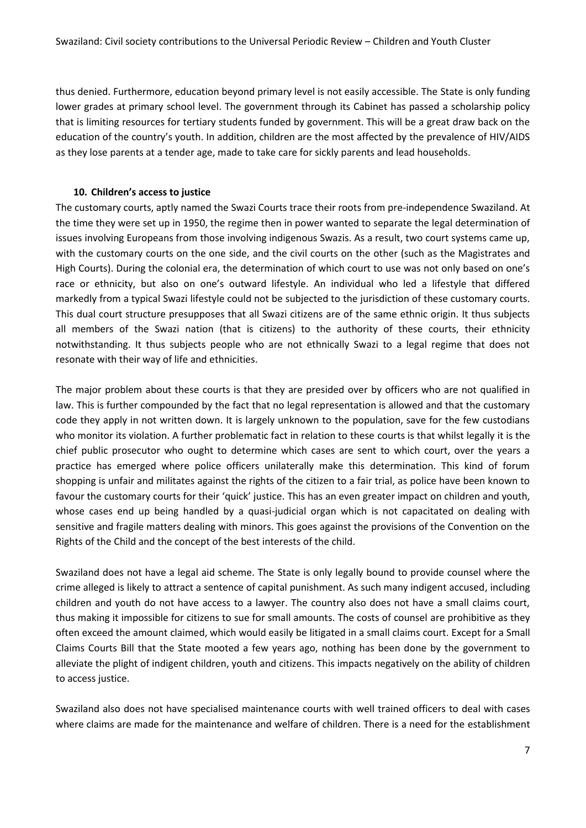thus denied. Furthermore, education beyond primary level is not easily accessible. The State is only funding lower grades at primary school level. The government through its Cabinet has passed a scholarship policy that is limiting resources for tertiary students funded by government. This will be a great draw back on the education of the country's youth. In addition, children are the most affected by the prevalence of HIV/AIDS as they lose parents at a tender age, made to take care for sickly parents and lead households.

#### **10. Children's access to justice**

The customary courts, aptly named the Swazi Courts trace their roots from pre-independence Swaziland. At the time they were set up in 1950, the regime then in power wanted to separate the legal determination of issues involving Europeans from those involving indigenous Swazis. As a result, two court systems came up, with the customary courts on the one side, and the civil courts on the other (such as the Magistrates and High Courts). During the colonial era, the determination of which court to use was not only based on one's race or ethnicity, but also on one's outward lifestyle. An individual who led a lifestyle that differed markedly from a typical Swazi lifestyle could not be subjected to the jurisdiction of these customary courts. This dual court structure presupposes that all Swazi citizens are of the same ethnic origin. It thus subjects all members of the Swazi nation (that is citizens) to the authority of these courts, their ethnicity notwithstanding. It thus subjects people who are not ethnically Swazi to a legal regime that does not resonate with their way of life and ethnicities.

The major problem about these courts is that they are presided over by officers who are not qualified in law. This is further compounded by the fact that no legal representation is allowed and that the customary code they apply in not written down. It is largely unknown to the population, save for the few custodians who monitor its violation. A further problematic fact in relation to these courts is that whilst legally it is the chief public prosecutor who ought to determine which cases are sent to which court, over the years a practice has emerged where police officers unilaterally make this determination. This kind of forum shopping is unfair and militates against the rights of the citizen to a fair trial, as police have been known to favour the customary courts for their 'quick' justice. This has an even greater impact on children and youth, whose cases end up being handled by a quasi-judicial organ which is not capacitated on dealing with sensitive and fragile matters dealing with minors. This goes against the provisions of the Convention on the Rights of the Child and the concept of the best interests of the child.

Swaziland does not have a legal aid scheme. The State is only legally bound to provide counsel where the crime alleged is likely to attract a sentence of capital punishment. As such many indigent accused, including children and youth do not have access to a lawyer. The country also does not have a small claims court, thus making it impossible for citizens to sue for small amounts. The costs of counsel are prohibitive as they often exceed the amount claimed, which would easily be litigated in a small claims court. Except for a Small Claims Courts Bill that the State mooted a few years ago, nothing has been done by the government to alleviate the plight of indigent children, youth and citizens. This impacts negatively on the ability of children to access justice.

Swaziland also does not have specialised maintenance courts with well trained officers to deal with cases where claims are made for the maintenance and welfare of children. There is a need for the establishment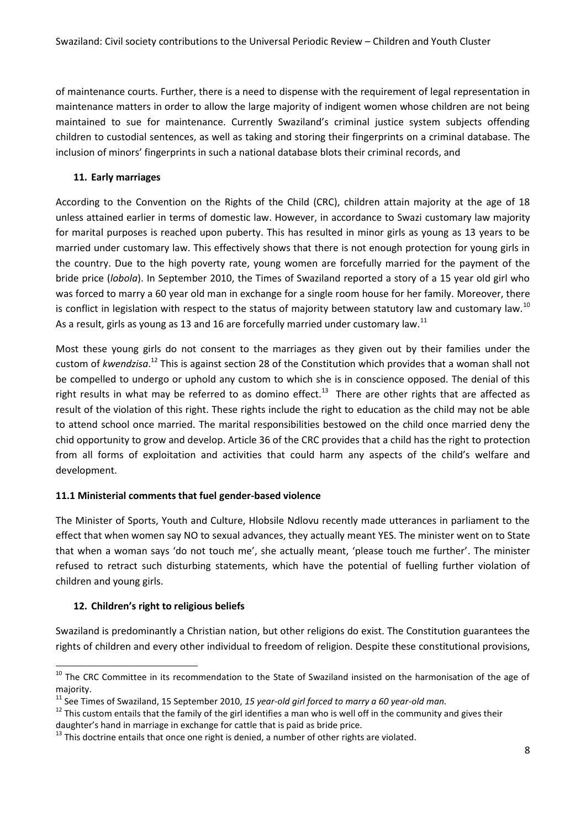of maintenance courts. Further, there is a need to dispense with the requirement of legal representation in maintenance matters in order to allow the large majority of indigent women whose children are not being maintained to sue for maintenance. Currently Swaziland's criminal justice system subjects offending children to custodial sentences, as well as taking and storing their fingerprints on a criminal database. The inclusion of minors' fingerprints in such a national database blots their criminal records, and

# **11. Early marriages**

According to the Convention on the Rights of the Child (CRC), children attain majority at the age of 18 unless attained earlier in terms of domestic law. However, in accordance to Swazi customary law majority for marital purposes is reached upon puberty. This has resulted in minor girls as young as 13 years to be married under customary law. This effectively shows that there is not enough protection for young girls in the country. Due to the high poverty rate, young women are forcefully married for the payment of the bride price (*lobola*). In September 2010, the Times of Swaziland reported a story of a 15 year old girl who was forced to marry a 60 year old man in exchange for a single room house for her family. Moreover, there is conflict in legislation with respect to the status of majority between statutory law and customary law.<sup>10</sup> As a result, girls as young as 13 and 16 are forcefully married under customary law.<sup>11</sup>

Most these young girls do not consent to the marriages as they given out by their families under the custom of *kwendzisa*. <sup>12</sup> This is against section 28 of the Constitution which provides that a woman shall not be compelled to undergo or uphold any custom to which she is in conscience opposed. The denial of this right results in what may be referred to as domino effect.<sup>13</sup> There are other rights that are affected as result of the violation of this right. These rights include the right to education as the child may not be able to attend school once married. The marital responsibilities bestowed on the child once married deny the chid opportunity to grow and develop. Article 36 of the CRC provides that a child has the right to protection from all forms of exploitation and activities that could harm any aspects of the child's welfare and development.

# **11.1 Ministerial comments that fuel gender-based violence**

The Minister of Sports, Youth and Culture, Hlobsile Ndlovu recently made utterances in parliament to the effect that when women say NO to sexual advances, they actually meant YES. The minister went on to State that when a woman says 'do not touch me', she actually meant, 'please touch me further'. The minister refused to retract such disturbing statements, which have the potential of fuelling further violation of children and young girls.

# **12. Children's right to religious beliefs**

**.** 

Swaziland is predominantly a Christian nation, but other religions do exist. The Constitution guarantees the rights of children and every other individual to freedom of religion. Despite these constitutional provisions,

<sup>&</sup>lt;sup>10</sup> The CRC Committee in its recommendation to the State of Swaziland insisted on the harmonisation of the age of majority.

<sup>11</sup> See Times of Swaziland, 15 September 2010, *15 year-old girl forced to marry a 60 year-old man.*

 $12$  This custom entails that the family of the girl identifies a man who is well off in the community and gives their daughter's hand in marriage in exchange for cattle that is paid as bride price.

 $13$  This doctrine entails that once one right is denied, a number of other rights are violated.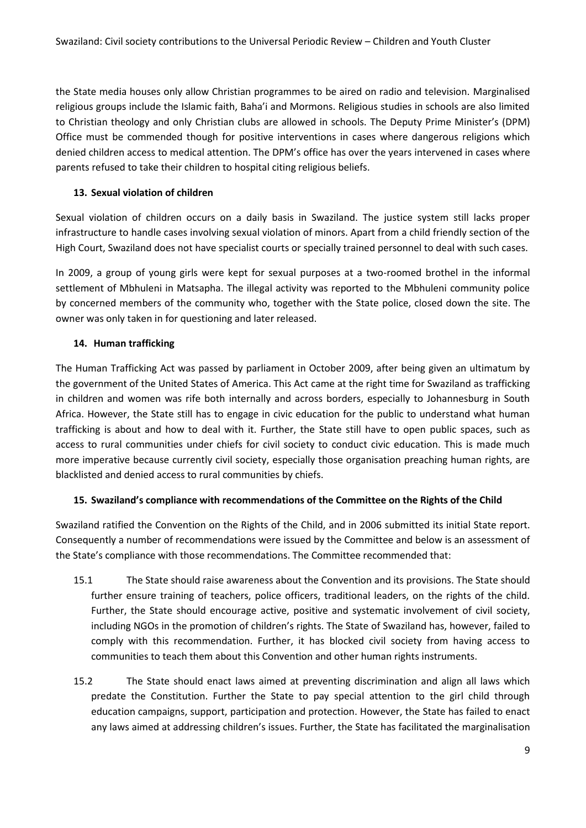the State media houses only allow Christian programmes to be aired on radio and television. Marginalised religious groups include the Islamic faith, Baha'i and Mormons. Religious studies in schools are also limited to Christian theology and only Christian clubs are allowed in schools. The Deputy Prime Minister's (DPM) Office must be commended though for positive interventions in cases where dangerous religions which denied children access to medical attention. The DPM's office has over the years intervened in cases where parents refused to take their children to hospital citing religious beliefs.

## **13. Sexual violation of children**

Sexual violation of children occurs on a daily basis in Swaziland. The justice system still lacks proper infrastructure to handle cases involving sexual violation of minors. Apart from a child friendly section of the High Court, Swaziland does not have specialist courts or specially trained personnel to deal with such cases.

In 2009, a group of young girls were kept for sexual purposes at a two-roomed brothel in the informal settlement of Mbhuleni in Matsapha. The illegal activity was reported to the Mbhuleni community police by concerned members of the community who, together with the State police, closed down the site. The owner was only taken in for questioning and later released.

## **14. Human trafficking**

The Human Trafficking Act was passed by parliament in October 2009, after being given an ultimatum by the government of the United States of America. This Act came at the right time for Swaziland as trafficking in children and women was rife both internally and across borders, especially to Johannesburg in South Africa. However, the State still has to engage in civic education for the public to understand what human trafficking is about and how to deal with it. Further, the State still have to open public spaces, such as access to rural communities under chiefs for civil society to conduct civic education. This is made much more imperative because currently civil society, especially those organisation preaching human rights, are blacklisted and denied access to rural communities by chiefs.

#### **15. Swaziland's compliance with recommendations of the Committee on the Rights of the Child**

Swaziland ratified the Convention on the Rights of the Child, and in 2006 submitted its initial State report. Consequently a number of recommendations were issued by the Committee and below is an assessment of the State's compliance with those recommendations. The Committee recommended that:

- 15.1 The State should raise awareness about the Convention and its provisions. The State should further ensure training of teachers, police officers, traditional leaders, on the rights of the child. Further, the State should encourage active, positive and systematic involvement of civil society, including NGOs in the promotion of children's rights. The State of Swaziland has, however, failed to comply with this recommendation. Further, it has blocked civil society from having access to communities to teach them about this Convention and other human rights instruments.
- 15.2 The State should enact laws aimed at preventing discrimination and align all laws which predate the Constitution. Further the State to pay special attention to the girl child through education campaigns, support, participation and protection. However, the State has failed to enact any laws aimed at addressing children's issues. Further, the State has facilitated the marginalisation